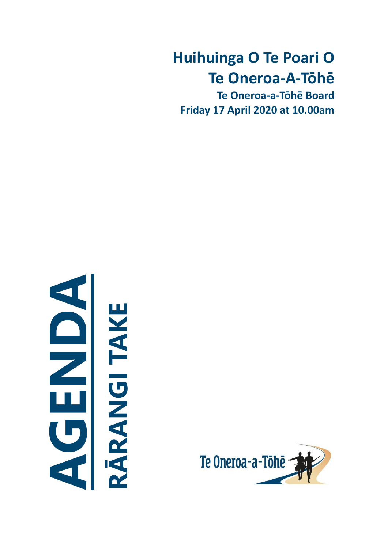# **Huihuinga O Te Poari O Te Oneroa-A-Tōhē**

**Te Oneroa-a-Tōhē Board Friday 17 April 2020 at 10.00am**



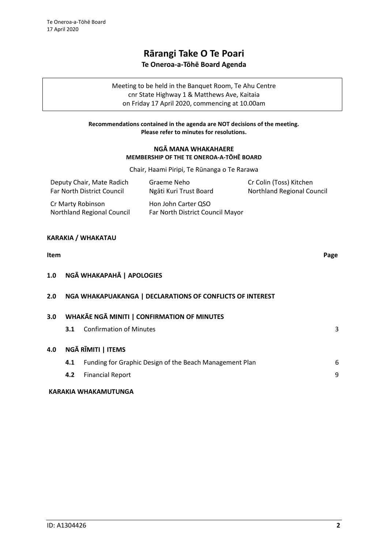# **Rārangi Take O Te Poari Te Oneroa-a-Tōhē Board Agenda**

Meeting to be held in the Banquet Room, Te Ahu Centre cnr State Highway 1 & Matthews Ave, Kaitaia on Friday 17 April 2020, commencing at 10.00am

# **Recommendations contained in the agenda are NOT decisions of the meeting. Please refer to minutes for resolutions.**

# **NGĀ MANA WHAKAHAERE MEMBERSHIP OF THE TE ONEROA-A-TŌHĒ BOARD**

Chair, Haami Piripi, Te Rūnanga o Te Rarawa

| Deputy Chair, Mate Radich                              | Graeme Neho                                             | Cr Colin (Toss) Kitchen           |  |  |  |  |
|--------------------------------------------------------|---------------------------------------------------------|-----------------------------------|--|--|--|--|
| Far North District Council                             | Ngāti Kuri Trust Board                                  | <b>Northland Regional Council</b> |  |  |  |  |
| Cr Marty Robinson<br><b>Northland Regional Council</b> | Hon John Carter QSO<br>Far North District Council Mayor |                                   |  |  |  |  |

# **KARAKIA / WHAKATAU**

# **Item Page 1.0 NGĀ WHAKAPAHĀ | APOLOGIES 2.0 NGA WHAKAPUAKANGA | DECLARATIONS OF CONFLICTS OF INTEREST 3.0 WHAKĀE NGĀ MINITI | CONFIRMATION OF MINUTES [3](#page-2-0).1** Confirmation of Minutes 3 **4.0 NGĀ RĪMITI | ITEMS 4.1** Funding for Graphic Design of the Beach Management Plan **4.2** Financial Report [9](#page-8-0) **KARAKIA WHAKAMUTUNGA**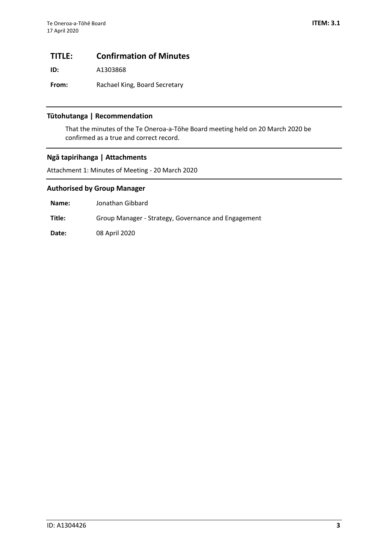# <span id="page-2-0"></span>**TITLE: Confirmation of Minutes**

**ID:** A1303868

**From:** Rachael King, Board Secretary

# **Tūtohutanga | Recommendation**

That the minutes of the Te Oneroa-a-Tōhe Board meeting held on 20 March 2020 be confirmed as a true and correct record.

# **Ngā tapirihanga | Attachments**

Attachment 1: Minutes of Meeting - 20 March 2020

# **Authorised by Group Manager**

**Name:** Jonathan Gibbard

**Title:** Group Manager - Strategy, Governance and Engagement

**Date:** 08 April 2020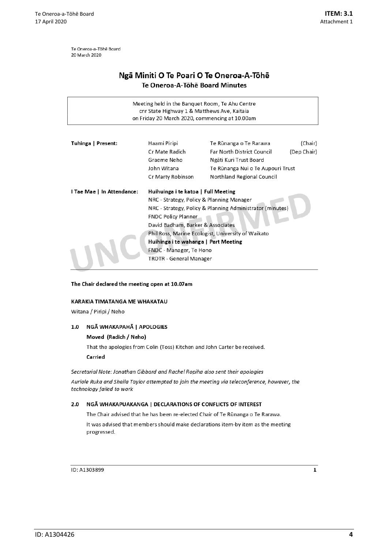Te Oneroa-a-Tōhē Board 20 March 2020

# Ngā Miniti O Te Poari O Te Oneroa-A-Tōhē Te Oneroa-A-Tōhē Board Minutes

| Meeting held in the Banquet Room, Te Ahu Centre<br>cnr State Highway 1 & Matthews Ave, Kaitaia<br>on Friday 20 March 2020, commencing at 10.00am |                                                           |                                                    |             |  |  |  |  |  |  |  |
|--------------------------------------------------------------------------------------------------------------------------------------------------|-----------------------------------------------------------|----------------------------------------------------|-------------|--|--|--|--|--|--|--|
| Tuhinga   Present:                                                                                                                               | Haami Piripi                                              | Te Rūnanga o Te Rarawa                             | (Chair)     |  |  |  |  |  |  |  |
|                                                                                                                                                  | Cr Mate Radich                                            | <b>Far North District Council</b>                  | (Dep Chair) |  |  |  |  |  |  |  |
|                                                                                                                                                  | Graeme Neho<br>Ngāti Kuri Trust Board                     |                                                    |             |  |  |  |  |  |  |  |
|                                                                                                                                                  | John Witana<br>Te Rünanga Nui o Te Aupouri Trust          |                                                    |             |  |  |  |  |  |  |  |
| Cr Marty Robinson<br>Northland Regional Council                                                                                                  |                                                           |                                                    |             |  |  |  |  |  |  |  |
| I Tae Mae   In Attendance:<br>Huihuinga i te katoa   Full Meeting                                                                                |                                                           |                                                    |             |  |  |  |  |  |  |  |
| NRC - Strategy, Policy & Planning Manager                                                                                                        |                                                           |                                                    |             |  |  |  |  |  |  |  |
|                                                                                                                                                  | NRC - Strategy, Policy & Planning Administrator (minutes) |                                                    |             |  |  |  |  |  |  |  |
|                                                                                                                                                  | <b>FNDC Policy Planner</b>                                |                                                    |             |  |  |  |  |  |  |  |
|                                                                                                                                                  | David Badham, Barker & Associates                         |                                                    |             |  |  |  |  |  |  |  |
|                                                                                                                                                  |                                                           | Phil Ross, Marine Ecologist, University of Waikato |             |  |  |  |  |  |  |  |
|                                                                                                                                                  | Huihinga i te wahanga   Part Meeting                      |                                                    |             |  |  |  |  |  |  |  |
|                                                                                                                                                  | FNDC - Manager, Te Hono                                   |                                                    |             |  |  |  |  |  |  |  |
|                                                                                                                                                  | <b>TROTR - General Manager</b>                            |                                                    |             |  |  |  |  |  |  |  |
|                                                                                                                                                  |                                                           |                                                    |             |  |  |  |  |  |  |  |

#### The Chair declared the meeting open at 10.07am

#### KARAKIA TIMATANGA ME WHAKATAU

Witana / Piripi / Neho

#### 1.0 NGĀ WHAKAPAHĀ | APOLOGIES

#### Moved (Radich / Neho)

That the apologies from Colin (Toss) Kitchen and John Carter be received.

Carried

Secretarial Note: Jonathan Gibbard and Rachel Ropiha also sent their apologies

Auriole Ruka and Sheila Taylor attempted to join the meeting via teleconference, however, the technology failed to work

#### NGĀ WHAKAPUAKANGA | DECLARATIONS OF CONFLICTS OF INTEREST  $2.0$

The Chair advised that he has been re-elected Chair of Te Rūnanga o Te Rarawa. It was advised that members should make declarations item-by item as the meeting progressed.

ID: A1303899

 $\mathbf 1$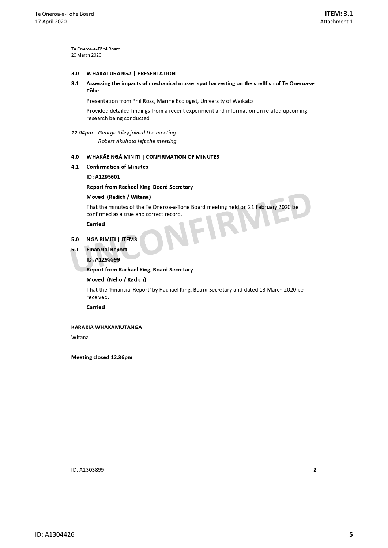Te Oneroa-a-Tōhē Board 20 March 2020

#### $3.0$ **WHAKATURANGA | PRESENTATION**

#### $3.1$ Assessing the impacts of mechanical mussel spat harvesting on the shellfish of Te Oneroa-a-Tōhe

Presentation from Phil Ross, Marine Ecologist, University of Waikato

Provided detailed findings from a recent experiment and information on related upcoming research being conducted

#### 12.04pm - George Riley joined the meeting Robert Akuhata left the meeting

# 4.0 WHAKĀE NGĀ MINITI | CONFIRMATION OF MINUTES

#### 4.1 Confirmation of Minutes

#### ID: A1295601

#### **Report from Rachael King, Board Secretary**

#### Moved (Radich / Witana)

That the minutes of the Te Oneroa-a-Tōhe Board meeting held on 21 February 2020 be confirmed as a true and correct record.

Carried

# 5.0 NGĀ RIMITI | ITEMS

5.1 Financial Report

#### ID: A1295599

#### **Report from Rachael King, Board Secretary**

#### Moved (Neho / Radich)

That the 'Financial Report' by Rachael King, Board Secretary and dated 13 March 2020 be received.

Carried

#### KARAKIA WHAKAMUTANGA

Witana

Meeting closed 12.36pm

ID: A1303899

 $\mathbf 2$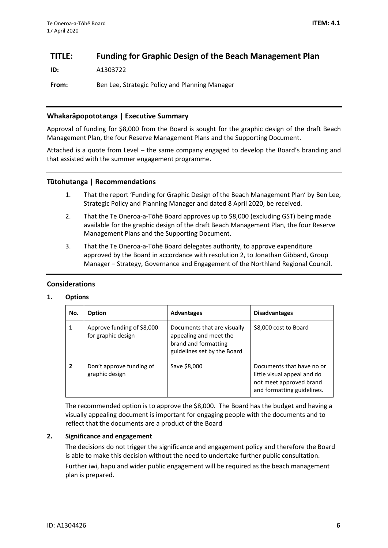# <span id="page-5-0"></span>**TITLE: Funding for Graphic Design of the Beach Management Plan**

**ID:** A1303722

**From:** Ben Lee, Strategic Policy and Planning Manager

# **Whakarāpopototanga | Executive Summary**

Approval of funding for \$8,000 from the Board is sought for the graphic design of the draft Beach Management Plan, the four Reserve Management Plans and the Supporting Document.

Attached is a quote from Level – the same company engaged to develop the Board's branding and that assisted with the summer engagement programme.

# **Tūtohutanga | Recommendations**

- 1. That the report 'Funding for Graphic Design of the Beach Management Plan' by Ben Lee, Strategic Policy and Planning Manager and dated 8 April 2020, be received.
- 2. That the Te Oneroa-a-Tōhē Board approves up to \$8,000 (excluding GST) being made available for the graphic design of the draft Beach Management Plan, the four Reserve Management Plans and the Supporting Document.
- 3. That the Te Oneroa-a-Tōhē Board delegates authority, to approve expenditure approved by the Board in accordance with resolution 2, to Jonathan Gibbard, Group Manager – Strategy, Governance and Engagement of the Northland Regional Council.

# **Considerations**

# **1. Options**

| No. | <b>Option</b>                                    | <b>Advantages</b>                                                                                            | <b>Disadvantages</b>                                                                                              |  |  |  |
|-----|--------------------------------------------------|--------------------------------------------------------------------------------------------------------------|-------------------------------------------------------------------------------------------------------------------|--|--|--|
|     | Approve funding of \$8,000<br>for graphic design | Documents that are visually<br>appealing and meet the<br>brand and formatting<br>guidelines set by the Board | \$8,000 cost to Board                                                                                             |  |  |  |
|     | Don't approve funding of<br>graphic design       | Save \$8,000                                                                                                 | Documents that have no or<br>little visual appeal and do<br>not meet approved brand<br>and formatting guidelines. |  |  |  |

The recommended option is to approve the \$8,000. The Board has the budget and having a visually appealing document is important for engaging people with the documents and to reflect that the documents are a product of the Board

## **2. Significance and engagement**

The decisions do not trigger the significance and engagement policy and therefore the Board is able to make this decision without the need to undertake further public consultation. Further iwi, hapu and wider public engagement will be required as the beach management plan is prepared.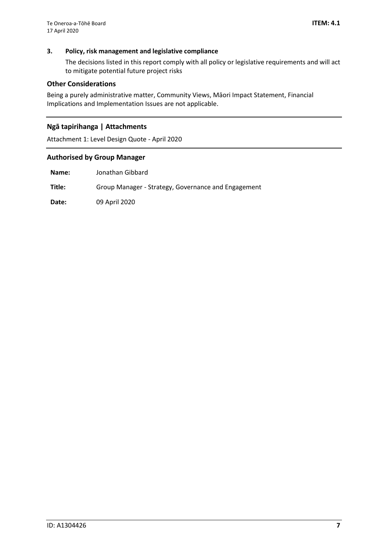# **3. Policy, risk management and legislative compliance**

The decisions listed in this report comply with all policy or legislative requirements and will act to mitigate potential future project risks

### **Other Considerations**

Being a purely administrative matter, Community Views, Māori Impact Statement, Financial Implications and Implementation Issues are not applicable.

# **Ngā tapirihanga | Attachments**

Attachment 1: Level Design Quote - April 2020

# **Authorised by Group Manager**

**Name:** Jonathan Gibbard

**Title:** Group Manager - Strategy, Governance and Engagement

**Date:** 09 April 2020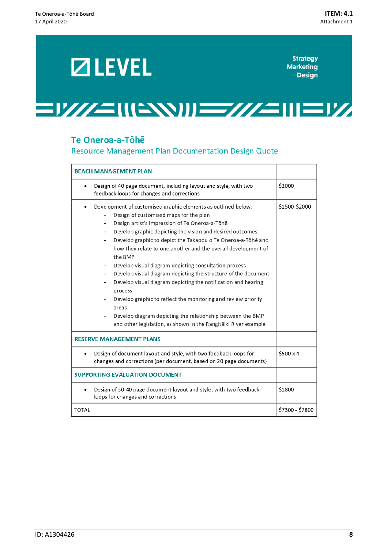# **ZIEVEL**

**Strategy Marketing Design** 

# =1///=\\\=\\\)\\==///=\\\2\\/

# Te Oneroa-a-Tōhē

Resource Management Plan Documentation Design Quote

| <b>BEACH MANAGEMENT PLAN</b>                                                                                                                                                                                                                                                                                                                                                                                                                                                                                                                                                                                                                                                                                                                                                                                                                                                                         |                 |
|------------------------------------------------------------------------------------------------------------------------------------------------------------------------------------------------------------------------------------------------------------------------------------------------------------------------------------------------------------------------------------------------------------------------------------------------------------------------------------------------------------------------------------------------------------------------------------------------------------------------------------------------------------------------------------------------------------------------------------------------------------------------------------------------------------------------------------------------------------------------------------------------------|-----------------|
| Design of 40 page document, including layout and style, with two<br>feedback loops for changes and corrections                                                                                                                                                                                                                                                                                                                                                                                                                                                                                                                                                                                                                                                                                                                                                                                       | \$2000          |
| Development of customised graphic elements as outlined below:<br>Design of customised maps for the plan<br>Design artist's impression of Te Oneroa-a-Tōhē<br>$\overline{\phantom{0}}$<br>Develop graphic depicting the vision and desired outcomes<br>$\overline{\phantom{0}}$<br>Develop graphic to depict the Takapou o Te Oneroa-a-Tōhē and<br>$\overline{\phantom{a}}$<br>how they relate to one another and the overall development of<br>the BMP<br>Develop visual diagram depicting consultation process<br>Develop visual diagram depicting the structure of the document<br>$\overline{\phantom{0}}$<br>Develop visual diagram depicting the notification and hearing<br>process<br>Develop graphic to reflect the monitoring and review priority<br>areas<br>Develop diagram depicting the relationship between the BMP<br>and other legislation, as shown in the Rangitäiki River example | \$1500-\$2000   |
| <b>RESERVE MANAGEMENT PLANS</b>                                                                                                                                                                                                                                                                                                                                                                                                                                                                                                                                                                                                                                                                                                                                                                                                                                                                      |                 |
| Design of document layout and style, with two feedback loops for<br>changes and corrections (per document, based on 20 page documents)                                                                                                                                                                                                                                                                                                                                                                                                                                                                                                                                                                                                                                                                                                                                                               | \$500x4         |
| <b>SUPPORTING EVALUATION DOCUMENT</b>                                                                                                                                                                                                                                                                                                                                                                                                                                                                                                                                                                                                                                                                                                                                                                                                                                                                |                 |
| Design of 30-40 page document layout and style, with two feedback<br>loops for changes and corrections                                                                                                                                                                                                                                                                                                                                                                                                                                                                                                                                                                                                                                                                                                                                                                                               | \$1800          |
| <b>TOTAL</b>                                                                                                                                                                                                                                                                                                                                                                                                                                                                                                                                                                                                                                                                                                                                                                                                                                                                                         | \$7300 - \$7800 |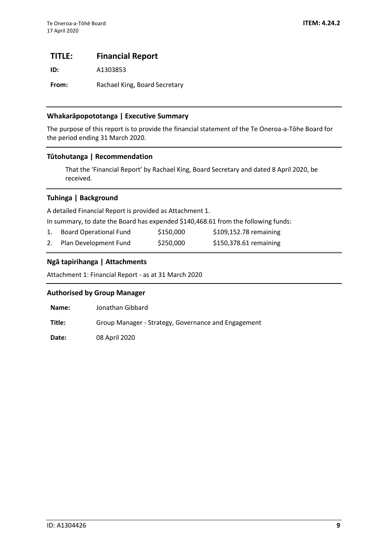# <span id="page-8-0"></span>**TITLE: Financial Report**

**ID:** A1303853

From: Rachael King, Board Secretary

# **Whakarāpopototanga | Executive Summary**

The purpose of this report is to provide the financial statement of the Te Oneroa-a-Tōhe Board for the period ending 31 March 2020.

# **Tūtohutanga | Recommendation**

That the 'Financial Report' by Rachael King, Board Secretary and dated 8 April 2020, be received.

# **Tuhinga | Background**

A detailed Financial Report is provided as Attachment 1.

In summary, to date the Board has expended \$140,468.61 from the following funds:

| <b>Board Operational Fund</b> | \$150,000 | \$109,152.78 remaining |
|-------------------------------|-----------|------------------------|
| 2. Plan Development Fund      | \$250,000 | \$150,378.61 remaining |

# **Ngā tapirihanga | Attachments**

Attachment 1: Financial Report - as at 31 March 2020

## **Authorised by Group Manager**

| Name:  | Jonathan Gibbard                                    |
|--------|-----------------------------------------------------|
| Title: | Group Manager - Strategy, Governance and Engagement |

**Date:** 08 April 2020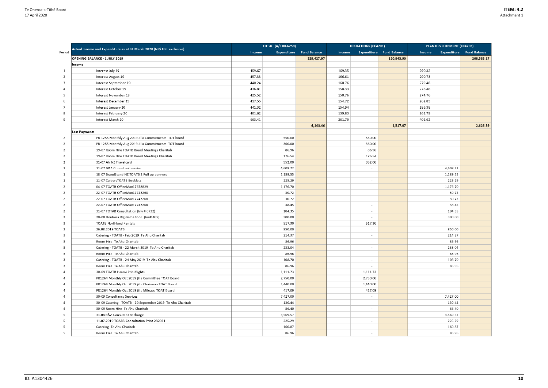|                |                                                                        |        | TOTAL (A/c 00-6259) |                                 | <b>OPERATIONS (CC4701)</b> |                          | PLAN DEVELOPMENT (CC4702)       |        |          |                                 |
|----------------|------------------------------------------------------------------------|--------|---------------------|---------------------------------|----------------------------|--------------------------|---------------------------------|--------|----------|---------------------------------|
| Period         | Actual Income and Expenditure as at 31 March 2020 (NZ\$ GST exclusive) | Income |                     | <b>Expenditure</b> Fund Balance | Income                     |                          | <b>Expenditure</b> Fund Balance | Income |          | <b>Expenditure</b> Fund Balance |
|                | <b>OPENING BALANCE - 1 JULY 2019</b>                                   |        |                     | 329,427.07                      |                            |                          | 120,843.90                      |        |          | 208,583.17                      |
|                | Income                                                                 |        |                     |                                 |                            |                          |                                 |        |          |                                 |
| 1              | Interest July 19                                                       | 459.67 |                     |                                 | 169.35                     |                          |                                 | 290.32 |          |                                 |
| 2              | Interest August 19                                                     | 457.33 |                     |                                 | 166.61                     |                          |                                 | 290.73 |          |                                 |
| 3              | Interest September 19                                                  | 440.24 |                     |                                 | 160.76                     |                          |                                 | 279.48 |          |                                 |
| 4              | Interest October 19                                                    | 436.81 |                     |                                 | 158.33                     |                          |                                 | 278.48 |          |                                 |
| -5             | Interest November 19                                                   | 425.52 |                     |                                 | 150.76                     |                          |                                 | 274.76 |          |                                 |
| 6              | Interest December 19                                                   | 417.55 |                     |                                 | 154.72                     |                          |                                 | 262.83 |          |                                 |
| - 7            | Interest January 20                                                    | 441.32 |                     |                                 | 154.94                     |                          |                                 | 286.38 |          |                                 |
| 8              | Interest February 20                                                   | 401.62 |                     |                                 | 139.83                     |                          |                                 | 261.79 |          |                                 |
| 9              | Interest March 20                                                      | 663.41 |                     |                                 | 261.79                     |                          |                                 | 401.62 |          |                                 |
|                |                                                                        |        |                     | 4,143.46                        |                            |                          | 1,517.07                        |        |          | 2,626.39                        |
|                | Less Payments                                                          |        |                     |                                 |                            |                          |                                 |        |          |                                 |
| $\overline{2}$ | PR 1255 Monthly Aug 2019 Jilla Commitments TOT board                   |        | 550.00              |                                 |                            | 550.00                   |                                 |        |          |                                 |
| 2              | PR 1255 Monthly Aug 2019 Jilla Commitments TOT board                   |        | 360.00              |                                 |                            | 360.00                   |                                 |        |          |                                 |
| 2              | 19-07 Room Hire TOATB Board Meetings Charitab                          |        | 86.96               |                                 |                            | 86.96                    |                                 |        |          |                                 |
| 2              | 19-07 Room Hire TOATB Board Meetings Charitab                          |        | 176.54              |                                 |                            | 176.54                   |                                 |        |          |                                 |
| 2              | 31-07 Air NZ Travelcard                                                |        | 952.00              |                                 |                            | 952.00                   |                                 |        |          |                                 |
| 2              | 31-07 B&A Consultant service                                           |        | 4,608.22            |                                 |                            | $\overline{\phantom{a}}$ |                                 |        | 4,608.22 |                                 |
| 1              | 18-07 BrandStand NZ TOATB 2 Pull up banners                            |        | 1,189.55            |                                 |                            |                          |                                 |        | 1,189.55 |                                 |
| 1              | 11-07 CaldersTOATB Booklets                                            |        | 225.29              |                                 |                            | $\overline{\phantom{a}}$ |                                 |        | 225.29   |                                 |
| 2              | 04-07 TOATB OfficeMax17678829                                          |        | 1,176.70            |                                 |                            | $\overline{\phantom{a}}$ |                                 |        | 1,176.70 |                                 |
| 2              | 22-07 TOATB OfficeMax17742268                                          |        | 30.72               |                                 |                            | $\sim$                   |                                 |        | 30.72    |                                 |
| 2              | 22-07 TOATB OfficeMax17742268                                          |        | 30.72               |                                 |                            | $\sim$                   |                                 |        | 30.72    |                                 |
| 2              | 22-07 TOATB OfficeMax17742268                                          |        | 38.45               |                                 |                            |                          |                                 |        | 38.45    |                                 |
| 2              | 31-07 TOTAB Consultation (Inv # 0732)                                  |        | 104.35              |                                 |                            | $\overline{\phantom{a}}$ |                                 |        | 104.35   |                                 |
| 2              | 20-08 Houhora Big Game food (Inv# 409)                                 |        | 300.00              |                                 |                            | $\overline{\phantom{a}}$ |                                 |        | 300.00   |                                 |
| 3              | <b>TOATB Northland Rentals</b>                                         |        | 517.30              |                                 |                            | 517.30                   |                                 |        |          |                                 |
| 3              | 26.08.2019 TOATB                                                       |        | 850.00              |                                 |                            | $\overline{\phantom{a}}$ |                                 |        | 850.00   |                                 |
| 3              | Catering - TOATB - Feb 2019 Te Ahu Charitab                            |        | 214.37              |                                 |                            |                          |                                 |        | 214.37   |                                 |
| 3              | Room Hire Te Ahu Charitab                                              |        | 86.96               |                                 |                            | $\overline{\phantom{a}}$ |                                 |        | 86.96    |                                 |
| 3              | Catering - TOATB - 22 March 2019 Te Ahu Charitab                       |        | 233.04              |                                 |                            |                          |                                 |        | 233.04   |                                 |
| 3              | Room Hire Te Ahu Charitab                                              |        | 86.96               |                                 |                            | $\sim$                   |                                 |        | 86.96    |                                 |
| 3              | Catering - TOATB - 24 May 2019 Te Ahu Charitab                         |        | 108.70              |                                 |                            | $\sim$                   |                                 |        | 108.70   |                                 |
| 3              | Room Hire Te Ahu Charitab                                              |        | 86.96               |                                 |                            | $\sim$                   |                                 |        | 86.96    |                                 |
| 4              | 30-09 TOATB Haami Pripi flights                                        |        | 1,111.73            |                                 |                            | 1,111.73                 |                                 |        |          |                                 |
| 4              | PR1264 Monthly Oct 2019 jilla Committee TOAT Board                     |        | 2,750.00            |                                 |                            | 2,750.00                 |                                 |        |          |                                 |
| 4              | PR1264 Monthly Oct 2019 jilla Chairman TOAT Board                      |        | 1,440.00            |                                 |                            | 1,440.00                 |                                 |        |          |                                 |
| 4              | PR1264 Monthly Oct 2019 jilla Mileage TOAT Board                       |        | 417.09              |                                 |                            | 417.09                   |                                 |        |          |                                 |
| 4              | 30-09 Consultancy Services                                             |        | 7,427.00            |                                 |                            | $\sim$                   |                                 |        | 7,427.00 |                                 |
| 4              | 30-09 Catering - TOATB - 20 September 2019 Te Ahu Charitab             |        | 130.44              |                                 |                            | $\sim$                   |                                 |        | 130.44   |                                 |
| 4              | 30-09 Room Hire Te Ahu Charitab                                        |        | 86.40               |                                 |                            | $\sim$                   |                                 |        | 86.40    |                                 |
| 5              | 31.08 B&A Consutant Recharge                                           |        | 3,569.57            |                                 |                            | $\overline{\phantom{a}}$ |                                 |        | 3,569.57 |                                 |
| 5              | 11.07.2019 TOARB Consultation Print 282021                             |        | 225.29              |                                 |                            | $\sim$                   |                                 |        | 225.29   |                                 |
| 5              | Catering Te Ahu Charitab                                               |        | 160.87              |                                 |                            | $\sim$                   |                                 |        | 160.87   |                                 |
| 5              | Room Hire Te Ahu Charitab                                              |        | 86.96               |                                 |                            | $\sim$                   |                                 |        | 86.96    |                                 |